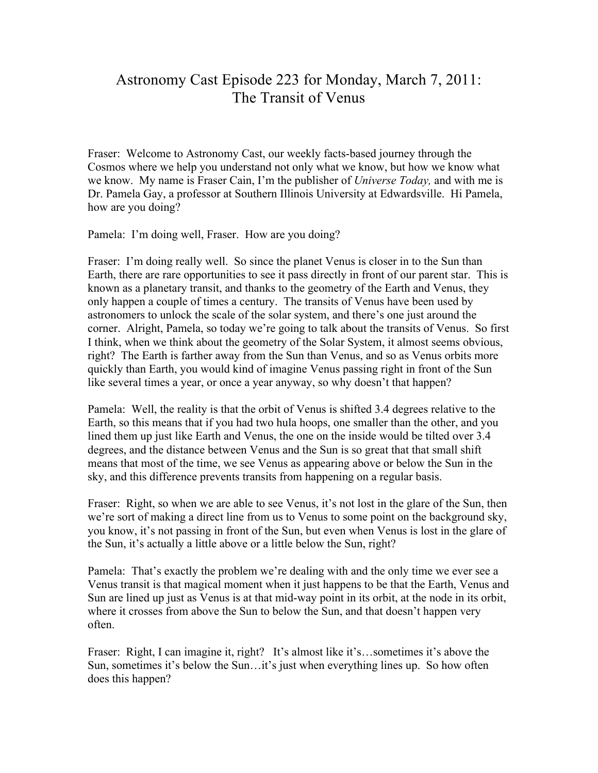## Astronomy Cast Episode 223 for Monday, March 7, 2011: The Transit of Venus

Fraser: Welcome to Astronomy Cast, our weekly facts-based journey through the Cosmos where we help you understand not only what we know, but how we know what we know. My name is Fraser Cain, I'm the publisher of *Universe Today,* and with me is Dr. Pamela Gay, a professor at Southern Illinois University at Edwardsville. Hi Pamela, how are you doing?

Pamela: I'm doing well, Fraser. How are you doing?

Fraser: I'm doing really well. So since the planet Venus is closer in to the Sun than Earth, there are rare opportunities to see it pass directly in front of our parent star. This is known as a planetary transit, and thanks to the geometry of the Earth and Venus, they only happen a couple of times a century. The transits of Venus have been used by astronomers to unlock the scale of the solar system, and there's one just around the corner. Alright, Pamela, so today we're going to talk about the transits of Venus. So first I think, when we think about the geometry of the Solar System, it almost seems obvious, right? The Earth is farther away from the Sun than Venus, and so as Venus orbits more quickly than Earth, you would kind of imagine Venus passing right in front of the Sun like several times a year, or once a year anyway, so why doesn't that happen?

Pamela: Well, the reality is that the orbit of Venus is shifted 3.4 degrees relative to the Earth, so this means that if you had two hula hoops, one smaller than the other, and you lined them up just like Earth and Venus, the one on the inside would be tilted over 3.4 degrees, and the distance between Venus and the Sun is so great that that small shift means that most of the time, we see Venus as appearing above or below the Sun in the sky, and this difference prevents transits from happening on a regular basis.

Fraser: Right, so when we are able to see Venus, it's not lost in the glare of the Sun, then we're sort of making a direct line from us to Venus to some point on the background sky, you know, it's not passing in front of the Sun, but even when Venus is lost in the glare of the Sun, it's actually a little above or a little below the Sun, right?

Pamela: That's exactly the problem we're dealing with and the only time we ever see a Venus transit is that magical moment when it just happens to be that the Earth, Venus and Sun are lined up just as Venus is at that mid-way point in its orbit, at the node in its orbit, where it crosses from above the Sun to below the Sun, and that doesn't happen very often.

Fraser: Right, I can imagine it, right? It's almost like it's…sometimes it's above the Sun, sometimes it's below the Sun…it's just when everything lines up. So how often does this happen?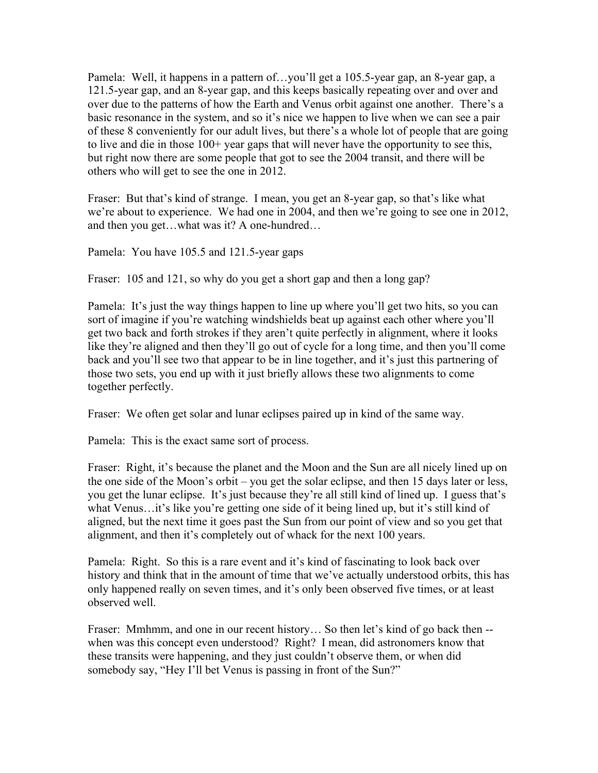Pamela: Well, it happens in a pattern of…you'll get a 105.5-year gap, an 8-year gap, a 121.5-year gap, and an 8-year gap, and this keeps basically repeating over and over and over due to the patterns of how the Earth and Venus orbit against one another. There's a basic resonance in the system, and so it's nice we happen to live when we can see a pair of these 8 conveniently for our adult lives, but there's a whole lot of people that are going to live and die in those 100+ year gaps that will never have the opportunity to see this, but right now there are some people that got to see the 2004 transit, and there will be others who will get to see the one in 2012.

Fraser: But that's kind of strange. I mean, you get an 8-year gap, so that's like what we're about to experience. We had one in 2004, and then we're going to see one in 2012, and then you get…what was it? A one-hundred…

Pamela: You have 105.5 and 121.5-year gaps

Fraser: 105 and 121, so why do you get a short gap and then a long gap?

Pamela: It's just the way things happen to line up where you'll get two hits, so you can sort of imagine if you're watching windshields beat up against each other where you'll get two back and forth strokes if they aren't quite perfectly in alignment, where it looks like they're aligned and then they'll go out of cycle for a long time, and then you'll come back and you'll see two that appear to be in line together, and it's just this partnering of those two sets, you end up with it just briefly allows these two alignments to come together perfectly.

Fraser: We often get solar and lunar eclipses paired up in kind of the same way.

Pamela: This is the exact same sort of process.

Fraser: Right, it's because the planet and the Moon and the Sun are all nicely lined up on the one side of the Moon's orbit – you get the solar eclipse, and then 15 days later or less, you get the lunar eclipse. It's just because they're all still kind of lined up. I guess that's what Venus…it's like you're getting one side of it being lined up, but it's still kind of aligned, but the next time it goes past the Sun from our point of view and so you get that alignment, and then it's completely out of whack for the next 100 years.

Pamela: Right. So this is a rare event and it's kind of fascinating to look back over history and think that in the amount of time that we've actually understood orbits, this has only happened really on seven times, and it's only been observed five times, or at least observed well.

Fraser: Mmhmm, and one in our recent history... So then let's kind of go back then -when was this concept even understood? Right? I mean, did astronomers know that these transits were happening, and they just couldn't observe them, or when did somebody say, "Hey I'll bet Venus is passing in front of the Sun?"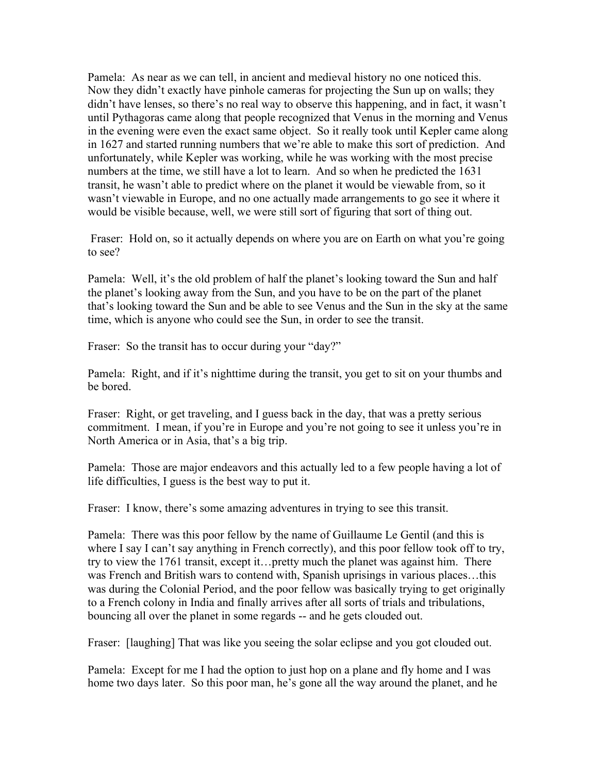Pamela: As near as we can tell, in ancient and medieval history no one noticed this. Now they didn't exactly have pinhole cameras for projecting the Sun up on walls; they didn't have lenses, so there's no real way to observe this happening, and in fact, it wasn't until Pythagoras came along that people recognized that Venus in the morning and Venus in the evening were even the exact same object. So it really took until Kepler came along in 1627 and started running numbers that we're able to make this sort of prediction. And unfortunately, while Kepler was working, while he was working with the most precise numbers at the time, we still have a lot to learn. And so when he predicted the 1631 transit, he wasn't able to predict where on the planet it would be viewable from, so it wasn't viewable in Europe, and no one actually made arrangements to go see it where it would be visible because, well, we were still sort of figuring that sort of thing out.

Fraser: Hold on, so it actually depends on where you are on Earth on what you're going to see?

Pamela: Well, it's the old problem of half the planet's looking toward the Sun and half the planet's looking away from the Sun, and you have to be on the part of the planet that's looking toward the Sun and be able to see Venus and the Sun in the sky at the same time, which is anyone who could see the Sun, in order to see the transit.

Fraser: So the transit has to occur during your "day?"

Pamela: Right, and if it's nighttime during the transit, you get to sit on your thumbs and be bored.

Fraser: Right, or get traveling, and I guess back in the day, that was a pretty serious commitment. I mean, if you're in Europe and you're not going to see it unless you're in North America or in Asia, that's a big trip.

Pamela: Those are major endeavors and this actually led to a few people having a lot of life difficulties, I guess is the best way to put it.

Fraser: I know, there's some amazing adventures in trying to see this transit.

Pamela: There was this poor fellow by the name of Guillaume Le Gentil (and this is where I say I can't say anything in French correctly), and this poor fellow took off to try, try to view the 1761 transit, except it…pretty much the planet was against him. There was French and British wars to contend with, Spanish uprisings in various places…this was during the Colonial Period, and the poor fellow was basically trying to get originally to a French colony in India and finally arrives after all sorts of trials and tribulations, bouncing all over the planet in some regards -- and he gets clouded out.

Fraser: [laughing] That was like you seeing the solar eclipse and you got clouded out.

Pamela: Except for me I had the option to just hop on a plane and fly home and I was home two days later. So this poor man, he's gone all the way around the planet, and he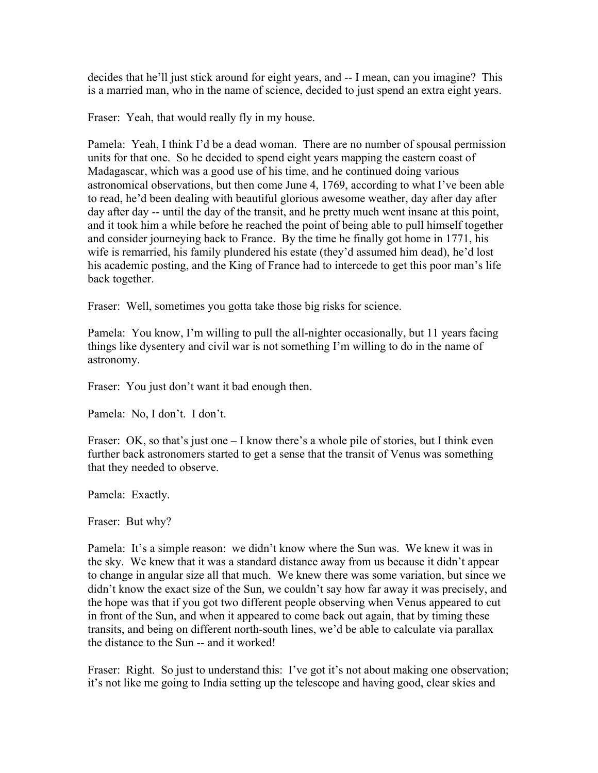decides that he'll just stick around for eight years, and -- I mean, can you imagine? This is a married man, who in the name of science, decided to just spend an extra eight years.

Fraser: Yeah, that would really fly in my house.

Pamela: Yeah, I think I'd be a dead woman. There are no number of spousal permission units for that one. So he decided to spend eight years mapping the eastern coast of Madagascar, which was a good use of his time, and he continued doing various astronomical observations, but then come June 4, 1769, according to what I've been able to read, he'd been dealing with beautiful glorious awesome weather, day after day after day after day -- until the day of the transit, and he pretty much went insane at this point, and it took him a while before he reached the point of being able to pull himself together and consider journeying back to France. By the time he finally got home in 1771, his wife is remarried, his family plundered his estate (they'd assumed him dead), he'd lost his academic posting, and the King of France had to intercede to get this poor man's life back together.

Fraser: Well, sometimes you gotta take those big risks for science.

Pamela: You know, I'm willing to pull the all-nighter occasionally, but 11 years facing things like dysentery and civil war is not something I'm willing to do in the name of astronomy.

Fraser: You just don't want it bad enough then.

Pamela: No, I don't. I don't.

Fraser: OK, so that's just one  $-1$  know there's a whole pile of stories, but I think even further back astronomers started to get a sense that the transit of Venus was something that they needed to observe.

Pamela: Exactly.

Fraser: But why?

Pamela: It's a simple reason: we didn't know where the Sun was. We knew it was in the sky. We knew that it was a standard distance away from us because it didn't appear to change in angular size all that much. We knew there was some variation, but since we didn't know the exact size of the Sun, we couldn't say how far away it was precisely, and the hope was that if you got two different people observing when Venus appeared to cut in front of the Sun, and when it appeared to come back out again, that by timing these transits, and being on different north-south lines, we'd be able to calculate via parallax the distance to the Sun -- and it worked!

Fraser: Right. So just to understand this: I've got it's not about making one observation; it's not like me going to India setting up the telescope and having good, clear skies and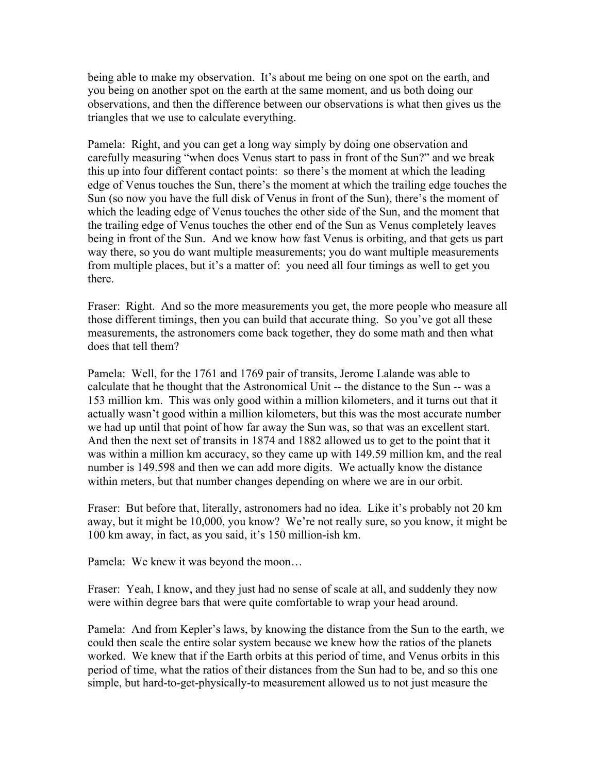being able to make my observation. It's about me being on one spot on the earth, and you being on another spot on the earth at the same moment, and us both doing our observations, and then the difference between our observations is what then gives us the triangles that we use to calculate everything.

Pamela: Right, and you can get a long way simply by doing one observation and carefully measuring "when does Venus start to pass in front of the Sun?" and we break this up into four different contact points: so there's the moment at which the leading edge of Venus touches the Sun, there's the moment at which the trailing edge touches the Sun (so now you have the full disk of Venus in front of the Sun), there's the moment of which the leading edge of Venus touches the other side of the Sun, and the moment that the trailing edge of Venus touches the other end of the Sun as Venus completely leaves being in front of the Sun. And we know how fast Venus is orbiting, and that gets us part way there, so you do want multiple measurements; you do want multiple measurements from multiple places, but it's a matter of: you need all four timings as well to get you there.

Fraser: Right. And so the more measurements you get, the more people who measure all those different timings, then you can build that accurate thing. So you've got all these measurements, the astronomers come back together, they do some math and then what does that tell them?

Pamela: Well, for the 1761 and 1769 pair of transits, Jerome Lalande was able to calculate that he thought that the Astronomical Unit -- the distance to the Sun -- was a 153 million km. This was only good within a million kilometers, and it turns out that it actually wasn't good within a million kilometers, but this was the most accurate number we had up until that point of how far away the Sun was, so that was an excellent start. And then the next set of transits in 1874 and 1882 allowed us to get to the point that it was within a million km accuracy, so they came up with 149.59 million km, and the real number is 149.598 and then we can add more digits. We actually know the distance within meters, but that number changes depending on where we are in our orbit.

Fraser: But before that, literally, astronomers had no idea. Like it's probably not 20 km away, but it might be 10,000, you know? We're not really sure, so you know, it might be 100 km away, in fact, as you said, it's 150 million-ish km.

Pamela: We knew it was beyond the moon…

Fraser: Yeah, I know, and they just had no sense of scale at all, and suddenly they now were within degree bars that were quite comfortable to wrap your head around.

Pamela: And from Kepler's laws, by knowing the distance from the Sun to the earth, we could then scale the entire solar system because we knew how the ratios of the planets worked. We knew that if the Earth orbits at this period of time, and Venus orbits in this period of time, what the ratios of their distances from the Sun had to be, and so this one simple, but hard-to-get-physically-to measurement allowed us to not just measure the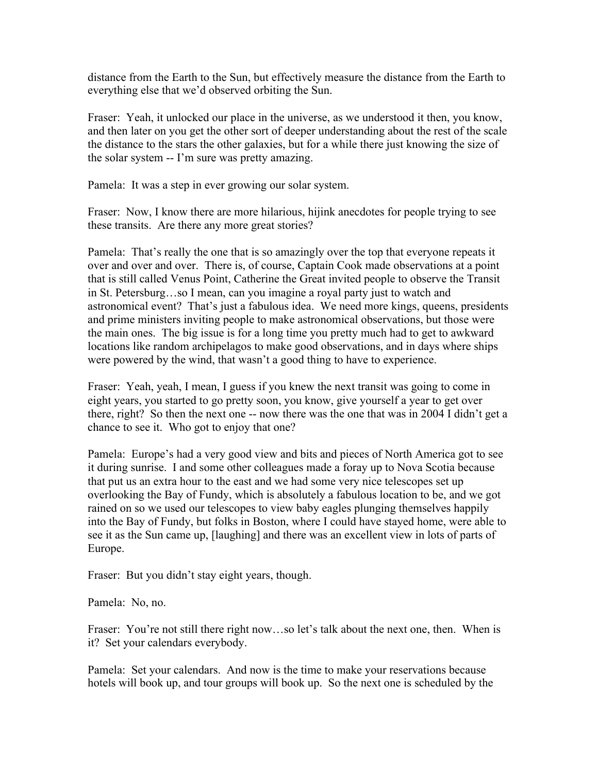distance from the Earth to the Sun, but effectively measure the distance from the Earth to everything else that we'd observed orbiting the Sun.

Fraser: Yeah, it unlocked our place in the universe, as we understood it then, you know, and then later on you get the other sort of deeper understanding about the rest of the scale the distance to the stars the other galaxies, but for a while there just knowing the size of the solar system -- I'm sure was pretty amazing.

Pamela: It was a step in ever growing our solar system.

Fraser: Now, I know there are more hilarious, hijink anecdotes for people trying to see these transits. Are there any more great stories?

Pamela: That's really the one that is so amazingly over the top that everyone repeats it over and over and over. There is, of course, Captain Cook made observations at a point that is still called Venus Point, Catherine the Great invited people to observe the Transit in St. Petersburg…so I mean, can you imagine a royal party just to watch and astronomical event? That's just a fabulous idea. We need more kings, queens, presidents and prime ministers inviting people to make astronomical observations, but those were the main ones. The big issue is for a long time you pretty much had to get to awkward locations like random archipelagos to make good observations, and in days where ships were powered by the wind, that wasn't a good thing to have to experience.

Fraser: Yeah, yeah, I mean, I guess if you knew the next transit was going to come in eight years, you started to go pretty soon, you know, give yourself a year to get over there, right? So then the next one -- now there was the one that was in 2004 I didn't get a chance to see it. Who got to enjoy that one?

Pamela: Europe's had a very good view and bits and pieces of North America got to see it during sunrise. I and some other colleagues made a foray up to Nova Scotia because that put us an extra hour to the east and we had some very nice telescopes set up overlooking the Bay of Fundy, which is absolutely a fabulous location to be, and we got rained on so we used our telescopes to view baby eagles plunging themselves happily into the Bay of Fundy, but folks in Boston, where I could have stayed home, were able to see it as the Sun came up, [laughing] and there was an excellent view in lots of parts of Europe.

Fraser: But you didn't stay eight years, though.

Pamela: No, no.

Fraser: You're not still there right now...so let's talk about the next one, then. When is it? Set your calendars everybody.

Pamela: Set your calendars. And now is the time to make your reservations because hotels will book up, and tour groups will book up. So the next one is scheduled by the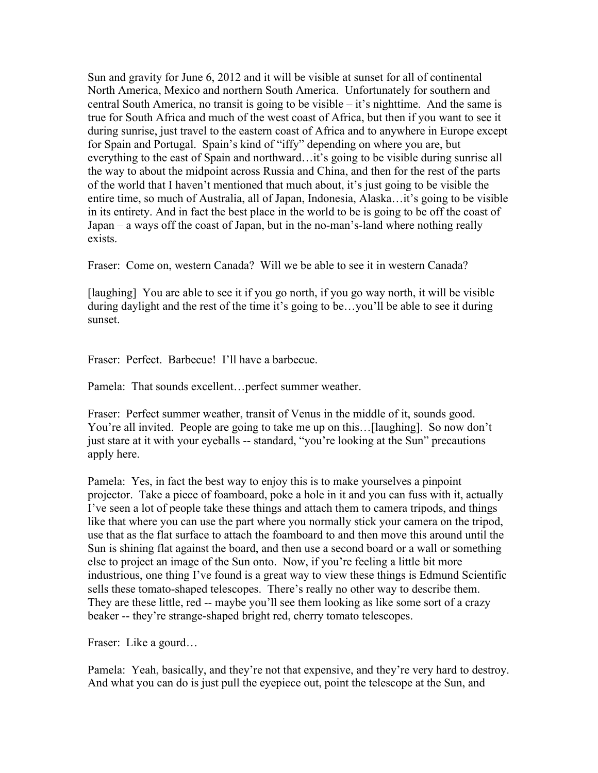Sun and gravity for June 6, 2012 and it will be visible at sunset for all of continental North America, Mexico and northern South America. Unfortunately for southern and central South America, no transit is going to be visible – it's nighttime. And the same is true for South Africa and much of the west coast of Africa, but then if you want to see it during sunrise, just travel to the eastern coast of Africa and to anywhere in Europe except for Spain and Portugal. Spain's kind of "iffy" depending on where you are, but everything to the east of Spain and northward…it's going to be visible during sunrise all the way to about the midpoint across Russia and China, and then for the rest of the parts of the world that I haven't mentioned that much about, it's just going to be visible the entire time, so much of Australia, all of Japan, Indonesia, Alaska…it's going to be visible in its entirety. And in fact the best place in the world to be is going to be off the coast of Japan – a ways off the coast of Japan, but in the no-man's-land where nothing really exists.

Fraser: Come on, western Canada? Will we be able to see it in western Canada?

[laughing] You are able to see it if you go north, if you go way north, it will be visible during daylight and the rest of the time it's going to be…you'll be able to see it during sunset.

Fraser: Perfect. Barbecue! I'll have a barbecue.

Pamela: That sounds excellent…perfect summer weather.

Fraser: Perfect summer weather, transit of Venus in the middle of it, sounds good. You're all invited. People are going to take me up on this…[laughing]. So now don't just stare at it with your eyeballs -- standard, "you're looking at the Sun" precautions apply here.

Pamela: Yes, in fact the best way to enjoy this is to make yourselves a pinpoint projector. Take a piece of foamboard, poke a hole in it and you can fuss with it, actually I've seen a lot of people take these things and attach them to camera tripods, and things like that where you can use the part where you normally stick your camera on the tripod, use that as the flat surface to attach the foamboard to and then move this around until the Sun is shining flat against the board, and then use a second board or a wall or something else to project an image of the Sun onto. Now, if you're feeling a little bit more industrious, one thing I've found is a great way to view these things is Edmund Scientific sells these tomato-shaped telescopes. There's really no other way to describe them. They are these little, red -- maybe you'll see them looking as like some sort of a crazy beaker -- they're strange-shaped bright red, cherry tomato telescopes.

Fraser: Like a gourd…

Pamela: Yeah, basically, and they're not that expensive, and they're very hard to destroy. And what you can do is just pull the eyepiece out, point the telescope at the Sun, and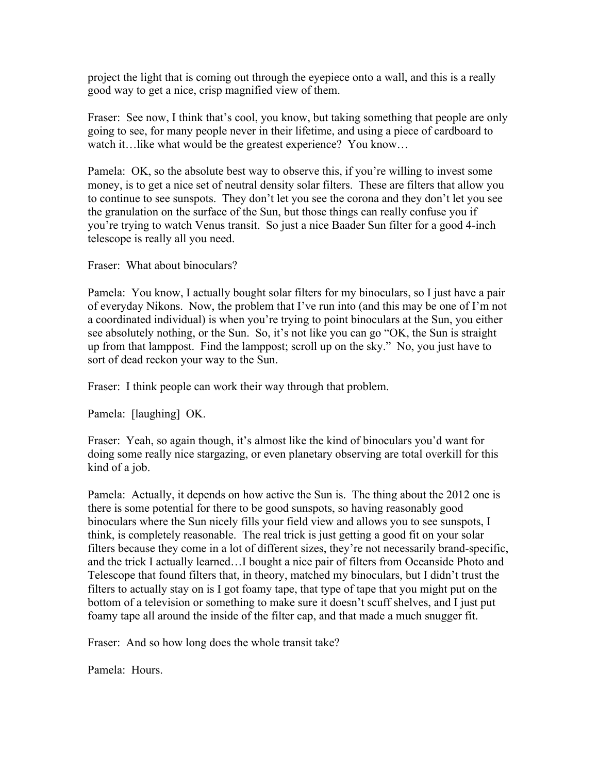project the light that is coming out through the eyepiece onto a wall, and this is a really good way to get a nice, crisp magnified view of them.

Fraser: See now, I think that's cool, you know, but taking something that people are only going to see, for many people never in their lifetime, and using a piece of cardboard to watch it…like what would be the greatest experience? You know…

Pamela: OK, so the absolute best way to observe this, if you're willing to invest some money, is to get a nice set of neutral density solar filters. These are filters that allow you to continue to see sunspots. They don't let you see the corona and they don't let you see the granulation on the surface of the Sun, but those things can really confuse you if you're trying to watch Venus transit. So just a nice Baader Sun filter for a good 4-inch telescope is really all you need.

Fraser: What about binoculars?

Pamela: You know, I actually bought solar filters for my binoculars, so I just have a pair of everyday Nikons. Now, the problem that I've run into (and this may be one of I'm not a coordinated individual) is when you're trying to point binoculars at the Sun, you either see absolutely nothing, or the Sun. So, it's not like you can go "OK, the Sun is straight up from that lamppost. Find the lamppost; scroll up on the sky." No, you just have to sort of dead reckon your way to the Sun.

Fraser: I think people can work their way through that problem.

Pamela: [laughing] OK.

Fraser: Yeah, so again though, it's almost like the kind of binoculars you'd want for doing some really nice stargazing, or even planetary observing are total overkill for this kind of a job.

Pamela: Actually, it depends on how active the Sun is. The thing about the 2012 one is there is some potential for there to be good sunspots, so having reasonably good binoculars where the Sun nicely fills your field view and allows you to see sunspots, I think, is completely reasonable. The real trick is just getting a good fit on your solar filters because they come in a lot of different sizes, they're not necessarily brand-specific, and the trick I actually learned…I bought a nice pair of filters from Oceanside Photo and Telescope that found filters that, in theory, matched my binoculars, but I didn't trust the filters to actually stay on is I got foamy tape, that type of tape that you might put on the bottom of a television or something to make sure it doesn't scuff shelves, and I just put foamy tape all around the inside of the filter cap, and that made a much snugger fit.

Fraser: And so how long does the whole transit take?

Pamela: Hours.